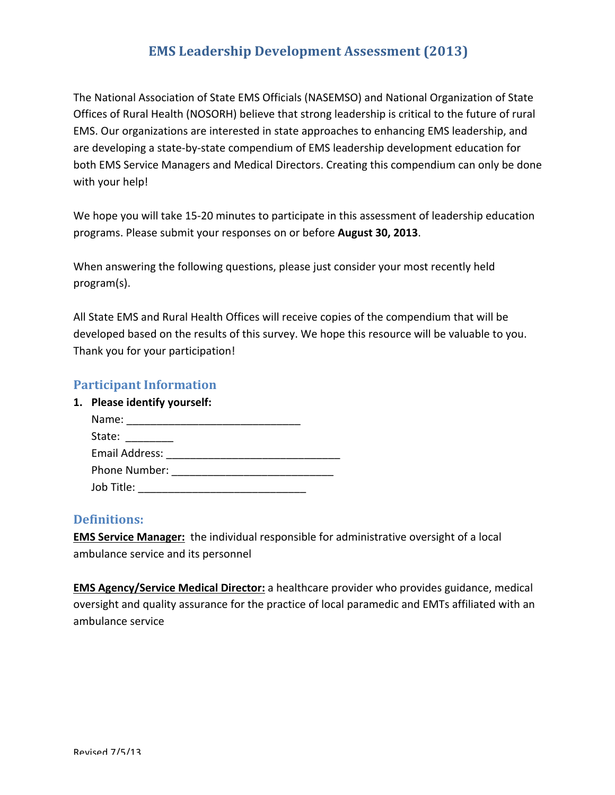The National Association of State EMS Officials (NASEMSO) and National Organization of State Offices of Rural Health (NOSORH) believe that strong leadership is critical to the future of rural EMS. Our organizations are interested in state approaches to enhancing EMS leadership, and are developing a state-by-state compendium of EMS leadership development education for both EMS Service Managers and Medical Directors. Creating this compendium can only be done with your help!

We hope you will take 15-20 minutes to participate in this assessment of leadership education programs. Please submit your responses on or before **August 30, 2013**.

When answering the following questions, please just consider your most recently held program(s). 

All State EMS and Rural Health Offices will receive copies of the compendium that will be developed based on the results of this survey. We hope this resource will be valuable to you. Thank you for your participation!

# **Participant Information**

**1. Please identify yourself:**

| Name:          |  |
|----------------|--|
| State:         |  |
| Email Address: |  |
| Phone Number:  |  |
| Job Title:     |  |

# **Definitions:**

**EMS Service Manager:** the individual responsible for administrative oversight of a local ambulance service and its personnel

**EMS Agency/Service Medical Director:** a healthcare provider who provides guidance, medical oversight and quality assurance for the practice of local paramedic and EMTs affiliated with an ambulance service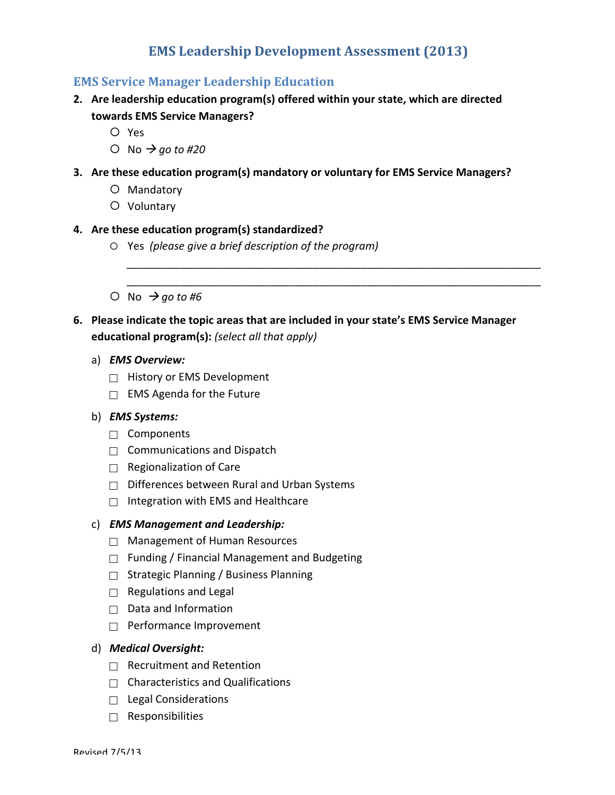# **EMS Service Manager Leadership Education**

- 2. Are leadership education program(s) offered within your state, which are directed **towards EMS Service Managers?**
	- ¡ Yes
	- $\bigcirc$  No  $\rightarrow$  *go* to #20
- **3.** Are these education program(s) mandatory or voluntary for EMS Service Managers?
	- O Mandatory
	- O Voluntary

## **4. Are these education program(s) standardized?**

- ¡ Yes *(please give a brief description of the program)*
- $\bigcirc$  No  $\rightarrow$  go to #6

# 6. Please indicate the topic areas that are included in your state's EMS Service Manager **educational program(s):** (select all that apply)

*\_\_\_\_\_\_\_\_\_\_\_\_\_\_\_\_\_\_\_\_\_\_\_\_\_\_\_\_\_\_\_\_\_\_\_\_\_\_\_\_\_\_\_\_\_\_\_\_\_\_\_\_\_\_\_\_\_\_\_\_\_\_\_\_\_\_\_\_\_ \_\_\_\_\_\_\_\_\_\_\_\_\_\_\_\_\_\_\_\_\_\_\_\_\_\_\_\_\_\_\_\_\_\_\_\_\_\_\_\_\_\_\_\_\_\_\_\_\_\_\_\_\_\_\_\_\_\_\_\_\_\_\_\_\_\_\_\_\_*

- a) *EMS Overview:*
	- $\Box$  History or EMS Development
	- $\Box$  EMS Agenda for the Future

## b) *EMS Systems:*

- □ Components
- $\Box$  Communications and Dispatch
- $\Box$  Regionalization of Care
- $\Box$  Differences between Rural and Urban Systems
- $\Box$  Integration with EMS and Healthcare

#### c) *EMS Management and Leadership:*

- $\Box$  Management of Human Resources
- $\Box$  Funding / Financial Management and Budgeting
- $\Box$  Strategic Planning / Business Planning
- $\Box$  Regulations and Legal
- $\Box$  Data and Information
- $\Box$  Performance Improvement

#### d) *Medical Oversight:*

- $\Box$  Recruitment and Retention
- $\Box$  Characteristics and Qualifications
- $\Box$  Legal Considerations
- $\Box$  Responsibilities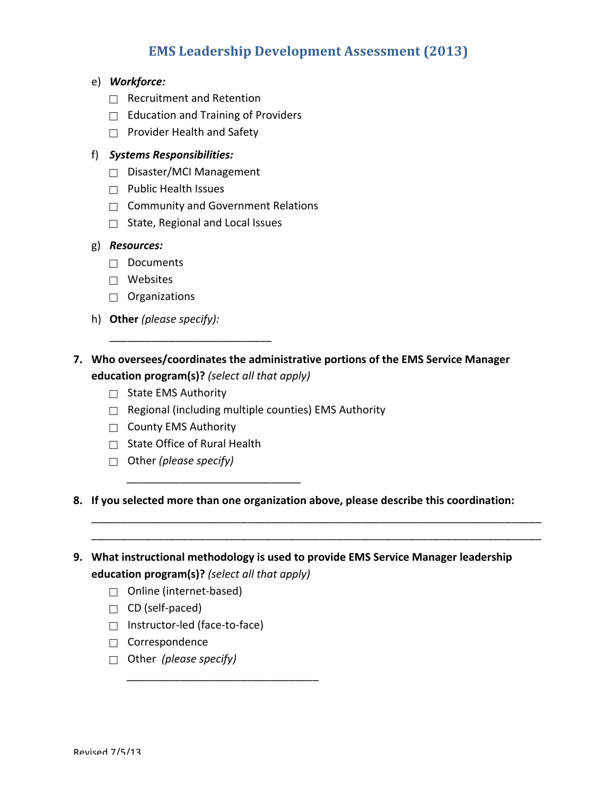- e) *Workforce:*
	- $\Box$  Recruitment and Retention
	- $\Box$  Education and Training of Providers
	- $\Box$  Provider Health and Safety

## f) *Systems Responsibilities:*

- $\Box$  Disaster/MCI Management
- $\Box$  Public Health Issues
- $\Box$  Community and Government Relations
- $\Box$  State, Regional and Local Issues

#### g) *Resources:*

- $\Box$  Documents
- $\Box$  Websites
- $\Box$  Organizations
- h) Other (please specify):
- **7.** Who oversees/coordinates the administrative portions of the EMS Service Manager **education program(s)?** *(select all that apply)*
	- $\Box$  State EMS Authority
	- $\Box$  Regional (including multiple counties) EMS Authority
	- $\Box$  County EMS Authority
	- $\Box$  State Office of Rural Health

*\_\_\_\_\_\_\_\_\_\_\_\_\_\_\_\_\_\_\_\_\_\_\_\_\_\_\_\_\_*

\_\_\_\_\_\_\_\_\_\_\_\_\_\_\_\_\_\_\_\_\_\_\_\_\_\_\_

- □ Other *(please specify)*
- 8. If you selected more than one organization above, please describe this coordination:

\_\_\_\_\_\_\_\_\_\_\_\_\_\_\_\_\_\_\_\_\_\_\_\_\_\_\_\_\_\_\_\_\_\_\_\_\_\_\_\_\_\_\_\_\_\_\_\_\_\_\_\_\_\_\_\_\_\_\_\_\_\_\_\_\_\_\_\_\_\_\_\_\_\_\_ \_\_\_\_\_\_\_\_\_\_\_\_\_\_\_\_\_\_\_\_\_\_\_\_\_\_\_\_\_\_\_\_\_\_\_\_\_\_\_\_\_\_\_\_\_\_\_\_\_\_\_\_\_\_\_\_\_\_\_\_\_\_\_\_\_\_\_\_\_\_\_\_\_\_\_

- 9. What instructional methodology is used to provide EMS Service Manager leadership **education program(s)?** *(select all that apply)* 
	- $\Box$  Online (internet-based)
	- $\Box$  CD (self-paced)
	- □ Instructor-led (face-to-face)

*\_\_\_\_\_\_\_\_\_\_\_\_\_\_\_\_\_\_\_\_\_\_\_\_\_\_\_\_\_\_\_\_*

- $\Box$  Correspondence
- □ Other (please specify)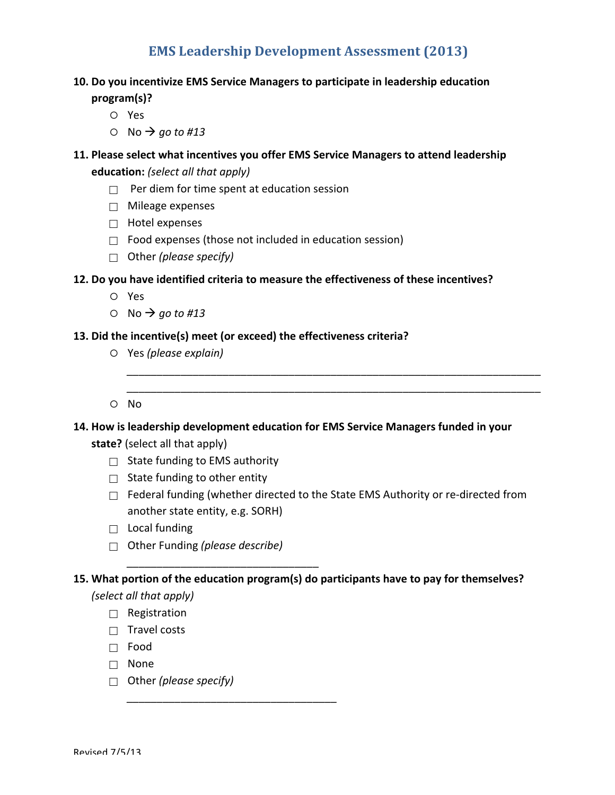## **10.** Do you incentivize EMS Service Managers to participate in leadership education

- **program(s)?**
	- ¡ Yes
	- $\circ$  No  $\rightarrow$  *go* to #13

# **11. Please select what incentives you offer EMS Service Managers to attend leadership education:** *(select all that apply)*

- $\Box$  Per diem for time spent at education session
- $\Box$  Mileage expenses
- $\Box$  Hotel expenses
- $\Box$  Food expenses (those not included in education session)
- Other *(please specify)*

## **12.** Do you have identified criteria to measure the effectiveness of these incentives?

- ¡ Yes
- $\circ$  No  $\rightarrow$  *go* to #13

## 13. Did the incentive(s) meet (or exceed) the effectiveness criteria?

- ¡ Yes *(please explain)*
- ¡ No

# 14. How is leadership development education for EMS Service Managers funded in your state? (select all that apply)

- $\Box$  State funding to EMS authority
- $\Box$  State funding to other entity
- $\Box$  Federal funding (whether directed to the State EMS Authority or re-directed from another state entity, e.g. SORH)

*\_\_\_\_\_\_\_\_\_\_\_\_\_\_\_\_\_\_\_\_\_\_\_\_\_\_\_\_\_\_\_\_\_\_\_\_\_\_\_\_\_\_\_\_\_\_\_\_\_\_\_\_\_\_\_\_\_\_\_\_\_\_\_\_\_\_\_\_\_ \_\_\_\_\_\_\_\_\_\_\_\_\_\_\_\_\_\_\_\_\_\_\_\_\_\_\_\_\_\_\_\_\_\_\_\_\_\_\_\_\_\_\_\_\_\_\_\_\_\_\_\_\_\_\_\_\_\_\_\_\_\_\_\_\_\_\_\_\_*

- $\Box$  Local funding
- □ Other Funding *(please describe)*

*\_\_\_\_\_\_\_\_\_\_\_\_\_\_\_\_\_\_\_\_\_\_\_\_\_\_\_\_\_\_\_\_*

*\_\_\_\_\_\_\_\_\_\_\_\_\_\_\_\_\_\_\_\_\_\_\_\_\_\_\_\_\_\_\_\_\_\_\_*

# 15. What portion of the education program(s) do participants have to pay for themselves?

- *(select all that apply)*
	- $\Box$  Registration
	- $\Box$  Travel costs
	- $\Box$  Food
	- □ None
	- □ Other *(please specify)*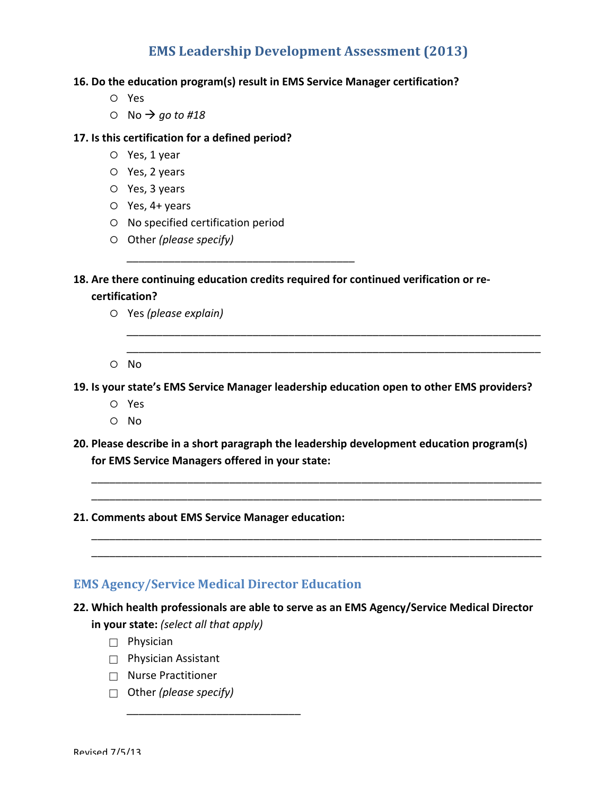#### **16. Do the education program(s) result in EMS Service Manager certification?**

- ¡ Yes
- $\circ$  No  $\rightarrow$  *go* to #18

#### **17.** Is this certification for a defined period?

- $O$  Yes, 1 year
- $O$  Yes, 2 years
- $O$  Yes, 3 years
- $O$  Yes, 4+ years
- $\circ$  No specified certification period
- ¡ Other *(please specify)*

18. Are there continuing education credits required for continued verification or re-

*\_\_\_\_\_\_\_\_\_\_\_\_\_\_\_\_\_\_\_\_\_\_\_\_\_\_\_\_\_\_\_\_\_\_\_\_\_\_*

#### **certification?**

- ¡ Yes *(please explain)*
- ¡ No

**19.** Is your state's EMS Service Manager leadership education open to other EMS providers?

*\_\_\_\_\_\_\_\_\_\_\_\_\_\_\_\_\_\_\_\_\_\_\_\_\_\_\_\_\_\_\_\_\_\_\_\_\_\_\_\_\_\_\_\_\_\_\_\_\_\_\_\_\_\_\_\_\_\_\_\_\_\_\_\_\_\_\_\_\_ \_\_\_\_\_\_\_\_\_\_\_\_\_\_\_\_\_\_\_\_\_\_\_\_\_\_\_\_\_\_\_\_\_\_\_\_\_\_\_\_\_\_\_\_\_\_\_\_\_\_\_\_\_\_\_\_\_\_\_\_\_\_\_\_\_\_\_\_\_*

- ¡ Yes
- $O$  No
- **20.** Please describe in a short paragraph the leadership development education program(s) **for EMS Service Managers offered in your state:**

\_\_\_\_\_\_\_\_\_\_\_\_\_\_\_\_\_\_\_\_\_\_\_\_\_\_\_\_\_\_\_\_\_\_\_\_\_\_\_\_\_\_\_\_\_\_\_\_\_\_\_\_\_\_\_\_\_\_\_\_\_\_\_\_\_\_\_\_\_\_\_\_\_\_\_ \_\_\_\_\_\_\_\_\_\_\_\_\_\_\_\_\_\_\_\_\_\_\_\_\_\_\_\_\_\_\_\_\_\_\_\_\_\_\_\_\_\_\_\_\_\_\_\_\_\_\_\_\_\_\_\_\_\_\_\_\_\_\_\_\_\_\_\_\_\_\_\_\_\_\_

\_\_\_\_\_\_\_\_\_\_\_\_\_\_\_\_\_\_\_\_\_\_\_\_\_\_\_\_\_\_\_\_\_\_\_\_\_\_\_\_\_\_\_\_\_\_\_\_\_\_\_\_\_\_\_\_\_\_\_\_\_\_\_\_\_\_\_\_\_\_\_\_\_\_\_ \_\_\_\_\_\_\_\_\_\_\_\_\_\_\_\_\_\_\_\_\_\_\_\_\_\_\_\_\_\_\_\_\_\_\_\_\_\_\_\_\_\_\_\_\_\_\_\_\_\_\_\_\_\_\_\_\_\_\_\_\_\_\_\_\_\_\_\_\_\_\_\_\_\_\_

**21. Comments about EMS Service Manager education:**

# **EMS Agency/Service Medical Director Education**

*\_\_\_\_\_\_\_\_\_\_\_\_\_\_\_\_\_\_\_\_\_\_\_\_\_\_\_\_\_*

# 22. Which health professionals are able to serve as an EMS Agency/Service Medical Director

**in your state:** (select all that apply)

- $\Box$  Physician
- $\Box$  Physician Assistant
- $\Box$  Nurse Practitioner
- □ Other *(please specify)*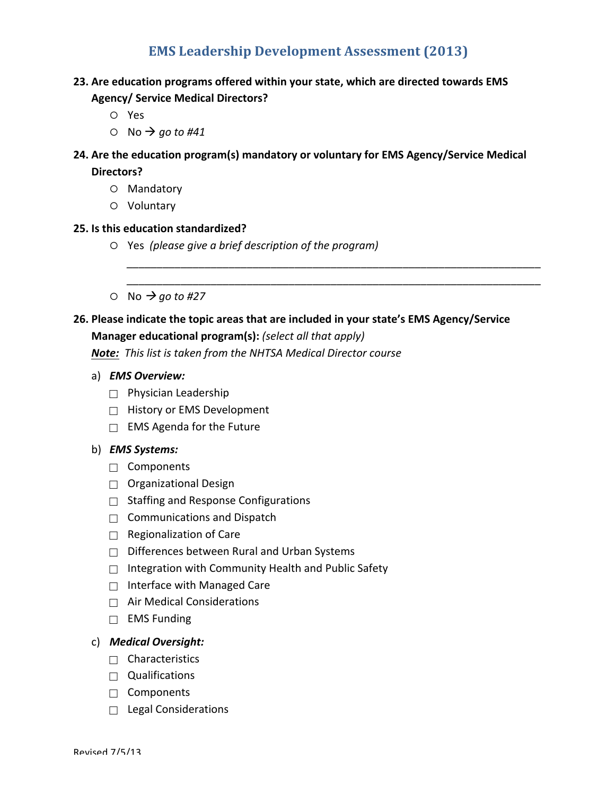# 23. Are education programs offered within your state, which are directed towards EMS **Agency/ Service Medical Directors?**

- ¡ Yes
- $\circ$  No  $\rightarrow$  go to #41

# **24.** Are the education program(s) mandatory or voluntary for EMS Agency/Service Medical

**Directors?**

- O Mandatory
- O Voluntary

## **25. Is this education standardized?**

- ¡ Yes *(please give a brief description of the program)*
- $\circ$  No  $\rightarrow$  *go* to #27

# 26. Please indicate the topic areas that are included in your state's EMS Agency/Service

*\_\_\_\_\_\_\_\_\_\_\_\_\_\_\_\_\_\_\_\_\_\_\_\_\_\_\_\_\_\_\_\_\_\_\_\_\_\_\_\_\_\_\_\_\_\_\_\_\_\_\_\_\_\_\_\_\_\_\_\_\_\_\_\_\_\_\_\_\_ \_\_\_\_\_\_\_\_\_\_\_\_\_\_\_\_\_\_\_\_\_\_\_\_\_\_\_\_\_\_\_\_\_\_\_\_\_\_\_\_\_\_\_\_\_\_\_\_\_\_\_\_\_\_\_\_\_\_\_\_\_\_\_\_\_\_\_\_\_*

## **Manager educational program(s):** (select all that apply)

**Note:** This list is taken from the NHTSA Medical Director course

- a) *EMS Overview:*
	- $\Box$  Physician Leadership
	- $\Box$  History or EMS Development
	- $\Box$  EMS Agenda for the Future

## b) *EMS Systems:*

- $\Box$  Components
- $\Box$  Organizational Design
- $\Box$  Staffing and Response Configurations
- $\Box$  Communications and Dispatch
- $\Box$  Regionalization of Care
- $\Box$  Differences between Rural and Urban Systems
- $\Box$  Integration with Community Health and Public Safety
- $\Box$  Interface with Managed Care
- $\Box$  Air Medical Considerations
- $\Box$  EMS Funding

## c) *Medical Oversight:*

- $\Box$  Characteristics
- $\Box$  Qualifications
- $\Box$  Components
- $\Box$  Legal Considerations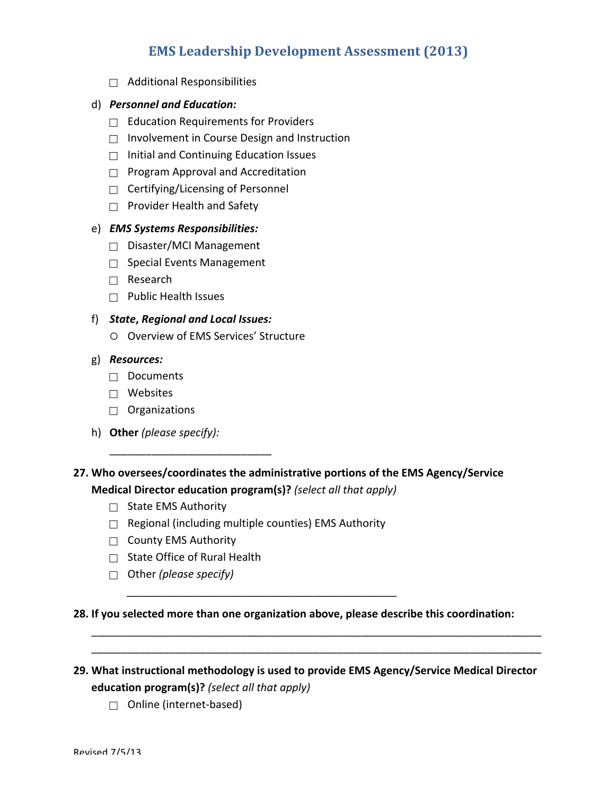$\Box$  Additional Responsibilities

## d) **Personnel and Education:**

- $\Box$  Education Requirements for Providers
- $\Box$  Involvement in Course Design and Instruction
- $\Box$  Initial and Continuing Education Issues
- $\Box$  Program Approval and Accreditation
- $\Box$  Certifying/Licensing of Personnel
- $\Box$  Provider Health and Safety

## e) *EMS Systems Responsibilities:*

- $\Box$  Disaster/MCI Management
- $\Box$  Special Events Management
- $\Box$  Research
- $\Box$  Public Health Issues

#### f) *State***,** *Regional and Local Issues:*

O Overview of EMS Services' Structure

#### g) *Resources:*

- $\Box$  Documents
- $\Box$  Websites
- $\Box$  Organizations
- h) Other (please specify):

# 27. Who oversees/coordinates the administrative portions of the EMS Agency/Service **Medical Director education program(s)?** *(select all that apply)*

- $\Box$  State EMS Authority
- $\Box$  Regional (including multiple counties) EMS Authority

*\_\_\_\_\_\_\_\_\_\_\_\_\_\_\_\_\_\_\_\_\_\_\_\_\_\_\_\_\_\_\_\_\_\_\_\_\_\_\_\_\_\_\_\_\_*

- $\Box$  County EMS Authority
- $\Box$  State Office of Rural Health

\_\_\_\_\_\_\_\_\_\_\_\_\_\_\_\_\_\_\_\_\_\_\_\_\_\_\_

□ Other *(please specify)* 

**28.** If you selected more than one organization above, please describe this coordination:

# 29. What instructional methodology is used to provide EMS Agency/Service Medical Director **education program(s)?** *(select all that apply)*

\_\_\_\_\_\_\_\_\_\_\_\_\_\_\_\_\_\_\_\_\_\_\_\_\_\_\_\_\_\_\_\_\_\_\_\_\_\_\_\_\_\_\_\_\_\_\_\_\_\_\_\_\_\_\_\_\_\_\_\_\_\_\_\_\_\_\_\_\_\_\_\_\_\_\_ \_\_\_\_\_\_\_\_\_\_\_\_\_\_\_\_\_\_\_\_\_\_\_\_\_\_\_\_\_\_\_\_\_\_\_\_\_\_\_\_\_\_\_\_\_\_\_\_\_\_\_\_\_\_\_\_\_\_\_\_\_\_\_\_\_\_\_\_\_\_\_\_\_\_\_

 $\Box$  Online (internet-based)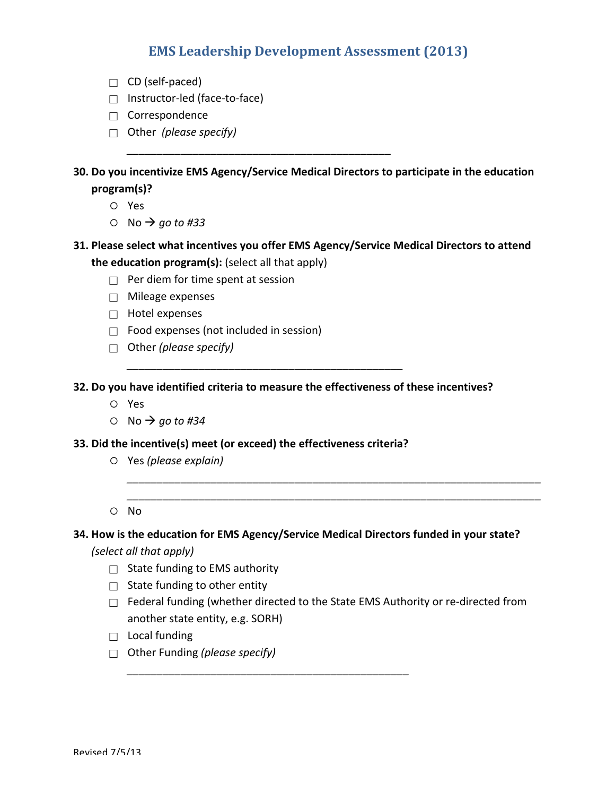- $\Box$  CD (self-paced)
- $\Box$  Instructor-led (face-to-face)
- $\Box$  Correspondence
- □ Other (*please specify*)

**30.** Do you incentivize EMS Agency/Service Medical Directors to participate in the education **program(s)?**

*\_\_\_\_\_\_\_\_\_\_\_\_\_\_\_\_\_\_\_\_\_\_\_\_\_\_\_\_\_\_\_\_\_\_\_\_\_\_\_\_\_\_\_\_*

- ¡ Yes
- $\circ$  No  $\rightarrow$  *go* to #33
- **31. Please select what incentives you offer EMS Agency/Service Medical Directors to attend the education program(s):** (select all that apply)
	- $\Box$  Per diem for time spent at session
	- $\Box$  Mileage expenses
	- $\Box$  Hotel expenses
	- $\Box$  Food expenses (not included in session)
	- □ Other (*please specify*)

**32.** Do you have identified criteria to measure the effectiveness of these incentives?

*\_\_\_\_\_\_\_\_\_\_\_\_\_\_\_\_\_\_\_\_\_\_\_\_\_\_\_\_\_\_\_\_\_\_\_\_\_\_\_\_\_\_\_\_\_\_*

- ¡ Yes
- $\circ$  No  $\rightarrow$  *go* to #34
- **33.** Did the incentive(s) meet (or exceed) the effectiveness criteria?
	- ¡ Yes *(please explain)*
	- $O$  No

#### **34.** How is the education for EMS Agency/Service Medical Directors funded in your state?

*\_\_\_\_\_\_\_\_\_\_\_\_\_\_\_\_\_\_\_\_\_\_\_\_\_\_\_\_\_\_\_\_\_\_\_\_\_\_\_\_\_\_\_\_\_\_\_*

*(select all that apply)* 

- $\Box$  State funding to EMS authority
- $\Box$  State funding to other entity
- $\Box$  Federal funding (whether directed to the State EMS Authority or re-directed from another state entity, e.g. SORH)

*\_\_\_\_\_\_\_\_\_\_\_\_\_\_\_\_\_\_\_\_\_\_\_\_\_\_\_\_\_\_\_\_\_\_\_\_\_\_\_\_\_\_\_\_\_\_\_\_\_\_\_\_\_\_\_\_\_\_\_\_\_\_\_\_\_\_\_\_\_ \_\_\_\_\_\_\_\_\_\_\_\_\_\_\_\_\_\_\_\_\_\_\_\_\_\_\_\_\_\_\_\_\_\_\_\_\_\_\_\_\_\_\_\_\_\_\_\_\_\_\_\_\_\_\_\_\_\_\_\_\_\_\_\_\_\_\_\_\_*

- $\Box$  Local funding
- □ Other Funding *(please specify)*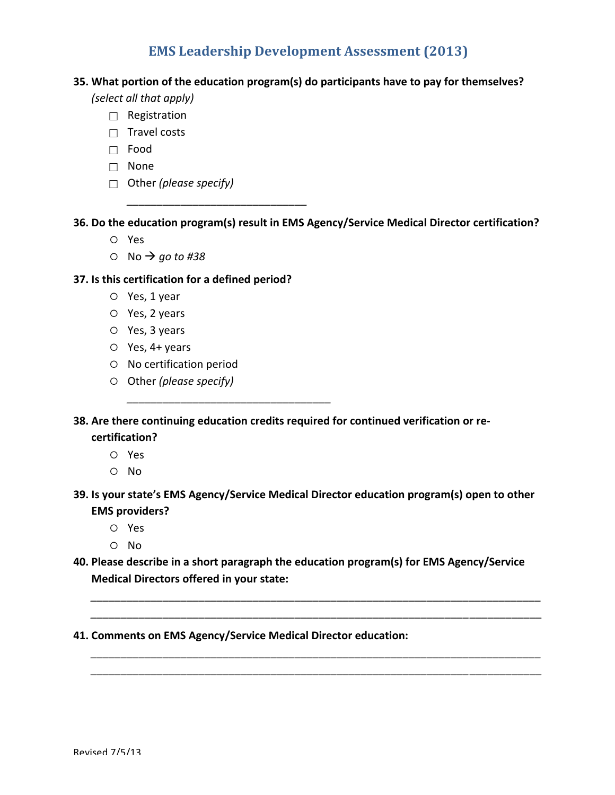## **35.** What portion of the education program(s) do participants have to pay for themselves?

*(select all that apply)* 

- $\Box$  Registration
- $\Box$  Travel costs
- Food
- □ None
- □ Other *(please specify)*

**36. Do the education program(s) result in EMS Agency/Service Medical Director certification?**

- ¡ Yes
- $\circ$  No  $\rightarrow$  *go* to #38

## **37.** Is this certification for a defined period?

*\_\_\_\_\_\_\_\_\_\_\_\_\_\_\_\_\_\_\_\_\_\_\_\_\_\_\_\_\_\_*

*\_\_\_\_\_\_\_\_\_\_\_\_\_\_\_\_\_\_\_\_\_\_\_\_\_\_\_\_\_\_\_\_\_\_*

- $O$  Yes, 1 year
- $O$  Yes, 2 years
- $O$  Yes, 3 years
- $O$  Yes,  $4+$  years
- $O$  No certification period
- ¡ Other *(please specify)*
- **38.** Are there continuing education credits required for continued verification or re**certification?**
	- ¡ Yes
	- $\circ$  No
- **39. Is your state's EMS Agency/Service Medical Director education program(s) open to other EMS** providers?
	- ¡ Yes
	- $O$  No
- 40. Please describe in a short paragraph the education program(s) for EMS Agency/Service **Medical Directors offered in your state:**

*\_\_\_\_\_\_\_\_\_\_\_\_\_\_\_\_\_\_\_\_\_\_\_\_\_\_\_\_\_\_\_\_\_\_\_\_\_\_\_\_\_\_\_\_\_\_\_\_\_\_\_\_\_\_\_\_\_\_\_\_\_\_\_\_\_\_\_\_\_\_\_\_\_\_\_ \_\_\_\_\_\_\_\_\_\_\_\_\_\_\_\_\_\_\_\_\_\_\_\_\_\_\_\_\_\_\_\_\_\_\_\_\_\_\_\_\_\_\_\_\_\_\_\_\_\_\_\_\_\_\_\_\_\_\_\_\_\_\_*\_\_\_\_\_\_\_\_\_\_\_\_

*\_\_\_\_\_\_\_\_\_\_\_\_\_\_\_\_\_\_\_\_\_\_\_\_\_\_\_\_\_\_\_\_\_\_\_\_\_\_\_\_\_\_\_\_\_\_\_\_\_\_\_\_\_\_\_\_\_\_\_\_\_\_\_\_\_\_\_\_\_\_\_\_\_\_\_ \_\_\_\_\_\_\_\_\_\_\_\_\_\_\_\_\_\_\_\_\_\_\_\_\_\_\_\_\_\_\_\_\_\_\_\_\_\_\_\_\_\_\_\_\_\_\_\_\_\_\_\_\_\_\_\_\_\_\_\_\_\_\_*\_\_\_\_\_\_\_\_\_\_\_\_

**41. Comments on EMS Agency/Service Medical Director education:**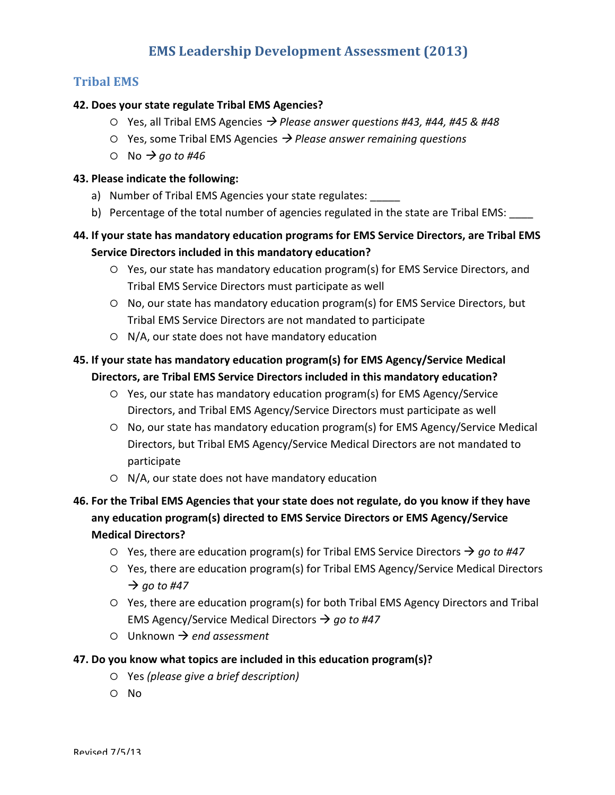# **Tribal EMS**

## **42. Does your state regulate Tribal EMS Agencies?**

- $\circ$  Yes, all Tribal EMS Agencies  $\rightarrow$  *Please answer questions #43, #44, #45 & #48*
- $\circ$  Yes, some Tribal EMS Agencies  $\rightarrow$  Please answer remaining questions
- $\circ$  No  $\rightarrow$  *go* to #46

#### **43. Please indicate the following:**

- a) Number of Tribal EMS Agencies your state regulates:
- b) Percentage of the total number of agencies regulated in the state are Tribal EMS:

# **44. If your state has mandatory education programs for EMS Service Directors, are Tribal EMS Service Directors included in this mandatory education?**

- $\circ$  Yes, our state has mandatory education program(s) for EMS Service Directors, and Tribal EMS Service Directors must participate as well
- $\circ$  No, our state has mandatory education program(s) for EMS Service Directors, but Tribal EMS Service Directors are not mandated to participate
- $O$  N/A, our state does not have mandatory education

# **45.** If your state has mandatory education program(s) for EMS Agency/Service Medical Directors, are Tribal EMS Service Directors included in this mandatory education?

- $\circ$  Yes, our state has mandatory education program(s) for EMS Agency/Service Directors, and Tribal EMS Agency/Service Directors must participate as well
- $\circ$  No, our state has mandatory education program(s) for EMS Agency/Service Medical Directors, but Tribal EMS Agency/Service Medical Directors are not mandated to participate
- $O$  N/A, our state does not have mandatory education

# **46.** For the Tribal EMS Agencies that your state does not regulate, do you know if they have any education program(s) directed to EMS Service Directors or EMS Agency/Service **Medical Directors?**

- $\circ$  Yes, there are education program(s) for Tribal EMS Service Directors  $\rightarrow$  *go to #47*
- $\circ$  Yes, there are education program(s) for Tribal EMS Agency/Service Medical Directors  $\rightarrow$  go to #47
- $\circ$  Yes, there are education program(s) for both Tribal EMS Agency Directors and Tribal EMS Agency/Service Medical Directors  $\rightarrow$  *go to #47*
- $\circ$  Unknown  $\rightarrow$  *end assessment*

#### **47.** Do you know what topics are included in this education program(s)?

- ¡ Yes *(please give a brief description)*
- $\circ$  No